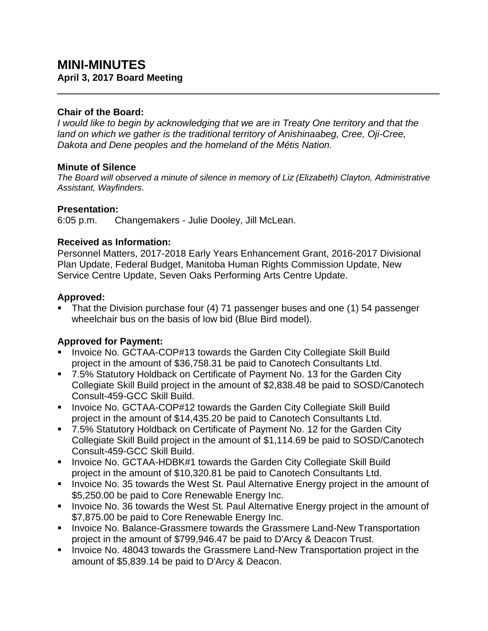# **MINI-MINUTES April 3, 2017 Board Meeting**

## **Chair of the Board:**

*I would like to begin by acknowledging that we are in Treaty One territory and that the land on which we gather is the traditional territory of Anishinaabeg, Cree, Oji-Cree, Dakota and Dene peoples and the homeland of the Métis Nation.*

#### **Minute of Silence**

*The Board will observed a minute of silence in memory of Liz (Elizabeth) Clayton, Administrative Assistant, Wayfinders*.

#### **Presentation:**

6:05 p.m. Changemakers - Julie Dooley, Jill McLean.

## **Received as Information:**

Personnel Matters, 2017-2018 Early Years Enhancement Grant, 2016-2017 Divisional Plan Update, Federal Budget, Manitoba Human Rights Commission Update, New Service Centre Update, Seven Oaks Performing Arts Centre Update.

## **Approved:**

 That the Division purchase four (4) 71 passenger buses and one (1) 54 passenger wheelchair bus on the basis of low bid (Blue Bird model).

## **Approved for Payment:**

- Invoice No. GCTAA-COP#13 towards the Garden City Collegiate Skill Build project in the amount of \$36,758.31 be paid to Canotech Consultants Ltd.
- 7.5% Statutory Holdback on Certificate of Payment No. 13 for the Garden City Collegiate Skill Build project in the amount of \$2,838.48 be paid to SOSD/Canotech Consult-459-GCC Skill Build.
- **IDED 10. AccOPHATA-COP#12 towards the Garden City Collegiate Skill Build** project in the amount of \$14,435.20 be paid to Canotech Consultants Ltd.
- 7.5% Statutory Holdback on Certificate of Payment No. 12 for the Garden City Collegiate Skill Build project in the amount of \$1,114.69 be paid to SOSD/Canotech Consult-459-GCC Skill Build.
- **IDED** Invoice No. GCTAA-HDBK#1 towards the Garden City Collegiate Skill Build project in the amount of \$10,320.81 be paid to Canotech Consultants Ltd.
- **Invoice No. 35 towards the West St. Paul Alternative Energy project in the amount of** \$5,250.00 be paid to Core Renewable Energy Inc.
- **Invoice No. 36 towards the West St. Paul Alternative Energy project in the amount of** \$7,875.00 be paid to Core Renewable Energy Inc.
- **Invoice No. Balance-Grassmere towards the Grassmere Land-New Transportation** project in the amount of \$799,946.47 be paid to D'Arcy & Deacon Trust.
- **Invoice No. 48043 towards the Grassmere Land-New Transportation project in the** amount of \$5,839.14 be paid to D'Arcy & Deacon.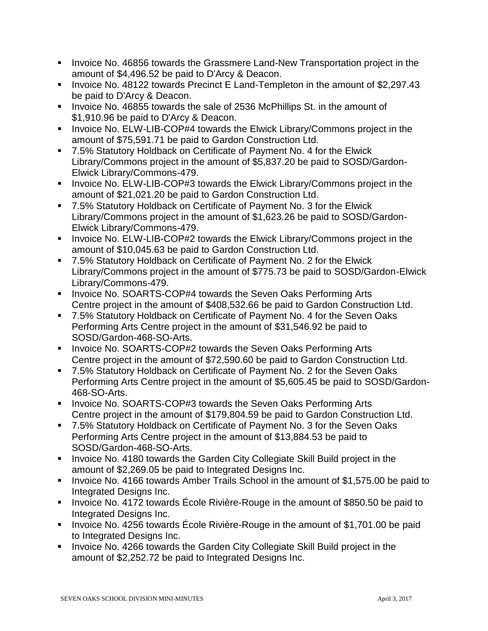- Invoice No. 46856 towards the Grassmere Land-New Transportation project in the amount of \$4,496.52 be paid to D'Arcy & Deacon.
- **Invoice No. 48122 towards Precinct E Land-Templeton in the amount of \$2,297.43** be paid to D'Arcy & Deacon.
- Invoice No. 46855 towards the sale of 2536 McPhillips St. in the amount of \$1,910.96 be paid to D'Arcy & Deacon.
- **Invoice No. ELW-LIB-COP#4 towards the Elwick Library/Commons project in the** amount of \$75,591.71 be paid to Gardon Construction Ltd.
- 7.5% Statutory Holdback on Certificate of Payment No. 4 for the Elwick Library/Commons project in the amount of \$5,837.20 be paid to SOSD/Gardon-Elwick Library/Commons-479.
- **Invoice No. ELW-LIB-COP#3 towards the Elwick Library/Commons project in the** amount of \$21,021.20 be paid to Gardon Construction Ltd.
- 7.5% Statutory Holdback on Certificate of Payment No. 3 for the Elwick Library/Commons project in the amount of \$1,623.26 be paid to SOSD/Gardon-Elwick Library/Commons-479.
- **Invoice No. ELW-LIB-COP#2 towards the Elwick Library/Commons project in the** amount of \$10,045.63 be paid to Gardon Construction Ltd.
- 7.5% Statutory Holdback on Certificate of Payment No. 2 for the Elwick Library/Commons project in the amount of \$775.73 be paid to SOSD/Gardon-Elwick Library/Commons-479.
- **Invoice No. SOARTS-COP#4 towards the Seven Oaks Performing Arts** Centre project in the amount of \$408,532.66 be paid to Gardon Construction Ltd.
- 7.5% Statutory Holdback on Certificate of Payment No. 4 for the Seven Oaks Performing Arts Centre project in the amount of \$31,546.92 be paid to SOSD/Gardon-468-SO-Arts.
- **Invoice No. SOARTS-COP#2 towards the Seven Oaks Performing Arts** Centre project in the amount of \$72,590.60 be paid to Gardon Construction Ltd.
- 7.5% Statutory Holdback on Certificate of Payment No. 2 for the Seven Oaks Performing Arts Centre project in the amount of \$5,605.45 be paid to SOSD/Gardon-468-SO-Arts.
- **Invoice No. SOARTS-COP#3 towards the Seven Oaks Performing Arts** Centre project in the amount of \$179,804.59 be paid to Gardon Construction Ltd.
- 7.5% Statutory Holdback on Certificate of Payment No. 3 for the Seven Oaks Performing Arts Centre project in the amount of \$13,884.53 be paid to SOSD/Gardon-468-SO-Arts.
- **Invoice No. 4180 towards the Garden City Collegiate Skill Build project in the** amount of \$2,269.05 be paid to Integrated Designs Inc.
- Invoice No. 4166 towards Amber Trails School in the amount of \$1,575.00 be paid to Integrated Designs Inc.
- Invoice No. 4172 towards École Rivière-Rouge in the amount of \$850.50 be paid to Integrated Designs Inc.
- Invoice No. 4256 towards Ecole Rivière-Rouge in the amount of \$1,701.00 be paid to Integrated Designs Inc.
- Invoice No. 4266 towards the Garden City Collegiate Skill Build project in the amount of \$2,252.72 be paid to Integrated Designs Inc.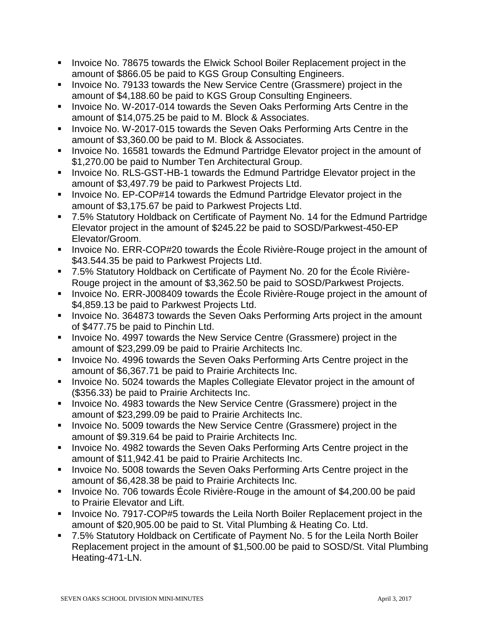- Invoice No. 78675 towards the Elwick School Boiler Replacement project in the amount of \$866.05 be paid to KGS Group Consulting Engineers.
- Invoice No. 79133 towards the New Service Centre (Grassmere) project in the amount of \$4,188.60 be paid to KGS Group Consulting Engineers.
- **Invoice No. W-2017-014 towards the Seven Oaks Performing Arts Centre in the** amount of \$14,075.25 be paid to M. Block & Associates.
- **Invoice No. W-2017-015 towards the Seven Oaks Performing Arts Centre in the** amount of \$3,360.00 be paid to M. Block & Associates.
- **Invoice No. 16581 towards the Edmund Partridge Elevator project in the amount of** \$1,270.00 be paid to Number Ten Architectural Group.
- **Invoice No. RLS-GST-HB-1 towards the Edmund Partridge Elevator project in the** amount of \$3,497.79 be paid to Parkwest Projects Ltd.
- Invoice No. EP-COP#14 towards the Edmund Partridge Elevator project in the amount of \$3,175.67 be paid to Parkwest Projects Ltd.
- 7.5% Statutory Holdback on Certificate of Payment No. 14 for the Edmund Partridge Elevator project in the amount of \$245.22 be paid to SOSD/Parkwest-450-EP Elevator/Groom.
- Invoice No. ERR-COP#20 towards the École Rivière-Rouge project in the amount of \$43.544.35 be paid to Parkwest Projects Ltd.
- 7.5% Statutory Holdback on Certificate of Payment No. 20 for the École Rivière-Rouge project in the amount of \$3,362.50 be paid to SOSD/Parkwest Projects.
- Invoice No. ERR-J008409 towards the École Rivière-Rouge project in the amount of \$4,859.13 be paid to Parkwest Projects Ltd.
- Invoice No. 364873 towards the Seven Oaks Performing Arts project in the amount of \$477.75 be paid to Pinchin Ltd.
- Invoice No. 4997 towards the New Service Centre (Grassmere) project in the amount of \$23,299.09 be paid to Prairie Architects Inc.
- Invoice No. 4996 towards the Seven Oaks Performing Arts Centre project in the amount of \$6,367.71 be paid to Prairie Architects Inc.
- **IDED** Invoice No. 5024 towards the Maples Collegiate Elevator project in the amount of (\$356.33) be paid to Prairie Architects Inc.
- **Invoice No. 4983 towards the New Service Centre (Grassmere) project in the** amount of \$23,299.09 be paid to Prairie Architects Inc.
- Invoice No. 5009 towards the New Service Centre (Grassmere) project in the amount of \$9.319.64 be paid to Prairie Architects Inc.
- Invoice No. 4982 towards the Seven Oaks Performing Arts Centre project in the amount of \$11,942.41 be paid to Prairie Architects Inc.
- **Invoice No. 5008 towards the Seven Oaks Performing Arts Centre project in the** amount of \$6,428.38 be paid to Prairie Architects Inc.
- Invoice No. 706 towards École Rivière-Rouge in the amount of \$4,200.00 be paid to Prairie Elevator and Lift.
- **Invoice No. 7917-COP#5 towards the Leila North Boiler Replacement project in the** amount of \$20,905.00 be paid to St. Vital Plumbing & Heating Co. Ltd.
- 7.5% Statutory Holdback on Certificate of Payment No. 5 for the Leila North Boiler Replacement project in the amount of \$1,500.00 be paid to SOSD/St. Vital Plumbing Heating-471-LN.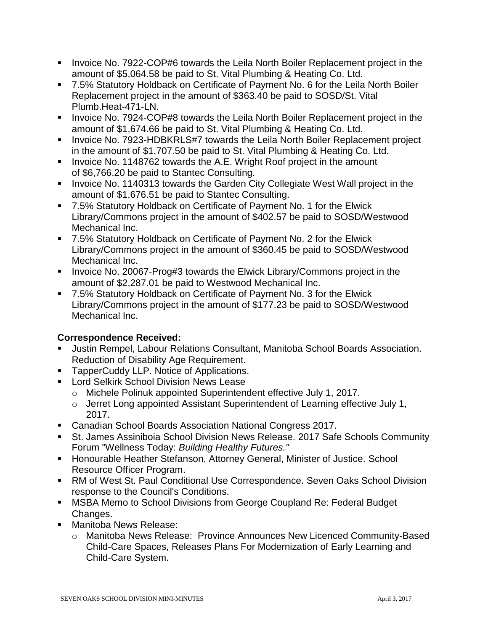- **Invoice No. 7922-COP#6 towards the Leila North Boiler Replacement project in the** amount of \$5,064.58 be paid to St. Vital Plumbing & Heating Co. Ltd.
- 7.5% Statutory Holdback on Certificate of Payment No. 6 for the Leila North Boiler Replacement project in the amount of \$363.40 be paid to SOSD/St. Vital Plumb.Heat-471-LN.
- **Invoice No. 7924-COP#8 towards the Leila North Boiler Replacement project in the** amount of \$1,674.66 be paid to St. Vital Plumbing & Heating Co. Ltd.
- **Invoice No. 7923-HDBKRLS#7 towards the Leila North Boiler Replacement project** in the amount of \$1,707.50 be paid to St. Vital Plumbing & Heating Co. Ltd.
- **IDED** Invoice No. [1148762](tel:1148762) towards the A.E. Wright Roof project in the amount of \$6,766.20 be paid to Stantec Consulting.
- **Invoice No. 1140313 towards the Garden City Collegiate West Wall project in the** amount of \$1,676.51 be paid to Stantec Consulting.
- 7.5% Statutory Holdback on Certificate of Payment No. 1 for the Elwick Library/Commons project in the amount of \$402.57 be paid to SOSD/Westwood Mechanical Inc.
- 7.5% Statutory Holdback on Certificate of Payment No. 2 for the Elwick Library/Commons project in the amount of \$360.45 be paid to SOSD/Westwood Mechanical Inc.
- Invoice No. 20067-Prog#3 towards the Elwick Library/Commons project in the amount of \$2,287.01 be paid to Westwood Mechanical Inc.
- 7.5% Statutory Holdback on Certificate of Payment No. 3 for the Elwick Library/Commons project in the amount of \$177.23 be paid to SOSD/Westwood Mechanical Inc.

# **Correspondence Received:**

- Justin Rempel, Labour Relations Consultant, Manitoba School Boards Association. Reduction of Disability Age Requirement.
- **TapperCuddy LLP. Notice of Applications.**
- **Lord Selkirk School Division News Lease** 
	- o Michele Polinuk appointed Superintendent effective July 1, 2017.
	- o Jerret Long appointed Assistant Superintendent of Learning effective July 1, 2017.
- Canadian School Boards Association National Congress 2017.
- St. James Assiniboia School Division News Release. 2017 Safe Schools Community Forum "Wellness Today: *Building Healthy Futures."*
- **Honourable Heather Stefanson, Attorney General, Minister of Justice. School** Resource Officer Program.
- RM of West St. Paul Conditional Use Correspondence. Seven Oaks School Division response to the Council's Conditions.
- **MSBA Memo to School Divisions from George Coupland Re: Federal Budget** Changes.
- **Manitoba News Release:** 
	- o Manitoba News Release: Province Announces New Licenced Community-Based Child-Care Spaces, Releases Plans For Modernization of Early Learning and Child-Care System.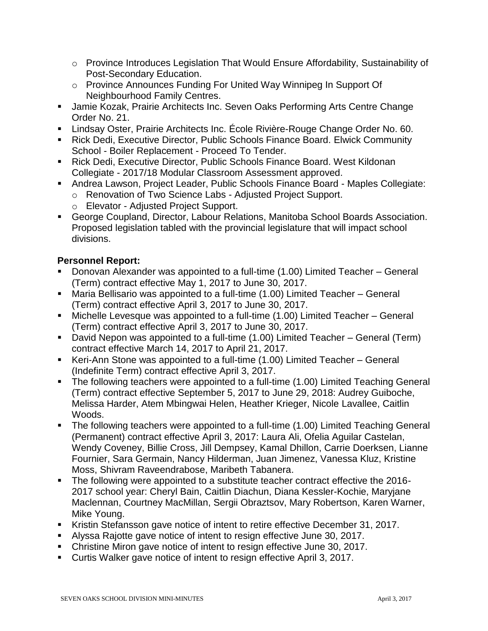- o Province Introduces Legislation That Would Ensure Affordability, Sustainability of Post-Secondary Education.
- o Province Announces Funding For United Way Winnipeg In Support Of Neighbourhood Family Centres.
- Jamie Kozak, Prairie Architects Inc. Seven Oaks Performing Arts Centre Change Order No. 21.
- Lindsay Oster, Prairie Architects Inc. École Rivière-Rouge Change Order No. 60.
- Rick Dedi, Executive Director, Public Schools Finance Board. Elwick Community School - Boiler Replacement - Proceed To Tender.
- Rick Dedi, Executive Director, Public Schools Finance Board. West Kildonan Collegiate - 2017/18 Modular Classroom Assessment approved.
- Andrea Lawson, Project Leader, Public Schools Finance Board Maples Collegiate:
	- o Renovation of Two Science Labs Adjusted Project Support.
	- o Elevator Adjusted Project Support.
- George Coupland, Director, Labour Relations, Manitoba School Boards Association. Proposed legislation tabled with the provincial legislature that will impact school divisions.

# **Personnel Report:**

- Donovan Alexander was appointed to a full-time (1.00) Limited Teacher General (Term) contract effective May 1, 2017 to June 30, 2017.
- Maria Bellisario was appointed to a full-time (1.00) Limited Teacher General (Term) contract effective April 3, 2017 to June 30, 2017.
- Michelle Levesque was appointed to a full-time (1.00) Limited Teacher General (Term) contract effective April 3, 2017 to June 30, 2017.
- David Nepon was appointed to a full-time (1.00) Limited Teacher General (Term) contract effective March 14, 2017 to April 21, 2017.
- Keri-Ann Stone was appointed to a full-time (1.00) Limited Teacher General (Indefinite Term) contract effective April 3, 2017.
- The following teachers were appointed to a full-time (1.00) Limited Teaching General (Term) contract effective September 5, 2017 to June 29, 2018: Audrey Guiboche, Melissa Harder, Atem Mbingwai Helen, Heather Krieger, Nicole Lavallee, Caitlin Woods.
- The following teachers were appointed to a full-time (1.00) Limited Teaching General (Permanent) contract effective April 3, 2017: Laura Ali, Ofelia Aguilar Castelan, Wendy Coveney, Billie Cross, Jill Dempsey, Kamal Dhillon, Carrie Doerksen, Lianne Fournier, Sara Germain, Nancy Hilderman, Juan Jimenez, Vanessa Kluz, Kristine Moss, Shivram Raveendrabose, Maribeth Tabanera.
- The following were appointed to a substitute teacher contract effective the 2016-2017 school year: Cheryl Bain, Caitlin Diachun, Diana Kessler-Kochie, Maryjane Maclennan, Courtney MacMillan, Sergii Obraztsov, Mary Robertson, Karen Warner, Mike Young.
- Kristin Stefansson gave notice of intent to retire effective December 31, 2017.
- Alyssa Rajotte gave notice of intent to resign effective June 30, 2017.
- Christine Miron gave notice of intent to resign effective June 30, 2017.
- Curtis Walker gave notice of intent to resign effective April 3, 2017.